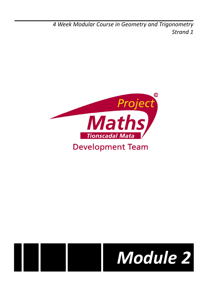*4 Week Modular Course in Geometry and Trigonometry Strand 1*





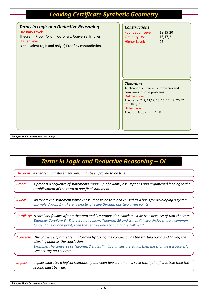# *Leaving Certificate Synthetic Geometry*

| <b>Terms in Logic and Deductive Reasoning</b><br><b>Ordinary Level:</b><br>Theorem, Proof, Axiom, Corollary, Converse, Implies.<br><b>Higher Level:</b><br>Is equivalent to, If and only if, Proof by contradiction. | <b>Constructions</b><br><b>Foundation Level:</b><br>18,19,20<br><b>Ordinary Level:</b><br>16,17,21<br><b>Higher Level:</b><br>22                                                                                                              |
|----------------------------------------------------------------------------------------------------------------------------------------------------------------------------------------------------------------------|-----------------------------------------------------------------------------------------------------------------------------------------------------------------------------------------------------------------------------------------------|
|                                                                                                                                                                                                                      | <b>Theorems</b><br>Application of theorems, converses and<br>corollaries to solve problems.<br><b>Ordinary Level:</b><br>Theorems: 7, 8, 11, 12, 13, 16, 17, 18, 20, 21<br>Corollary: 6<br><b>Higher Level:</b><br>Theorem Proofs: 11, 12, 13 |

|          | Theorem: A theorem is a statement which has been proved to be true.                                                                                                                                                                                                                                   |
|----------|-------------------------------------------------------------------------------------------------------------------------------------------------------------------------------------------------------------------------------------------------------------------------------------------------------|
| Proof:   | A proof is a sequence of statements (made up of axioms, assumptions and arguments) leading to the<br>establishment of the truth of one final statement.                                                                                                                                               |
| Axiom:   | An axiom is a statement which is assumed to be true and is used as a basis for developing a system.<br>Example: Axiom 1 - There is exactly one line through any two given points.                                                                                                                     |
|          | Corollary: A corollary follows after a theorem and is a proposition which must be true because of that theorem.<br>Example: Corollary 6 - This corollary follows Theorem 20 and states : "If two circles share a common<br>tangent line at one point, then the centres and that point are collinear". |
|          | Converse: The converse of a theorem is formed by taking the conclusion as the starting point and having the<br>starting point as the conclusion.<br>Example: The converse of Theorem 2 states " If two angles are equal, then the triangle is isosceles".<br>See activity on Theorem 7                |
| Implies: | Implies indicates a logical relationship between two statements, such that if the first is true then the<br>second must be true.                                                                                                                                                                      |

*© Project Maths Development Team – Draft*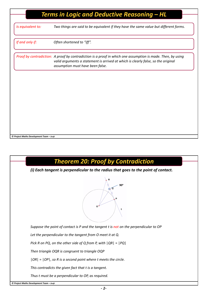| <b>Terms in Logic and Deductive Reasoning - HL</b> |                                                                                                                                                                                                                                      |  |  |
|----------------------------------------------------|--------------------------------------------------------------------------------------------------------------------------------------------------------------------------------------------------------------------------------------|--|--|
|                                                    |                                                                                                                                                                                                                                      |  |  |
| Is equivalent to:                                  | Two things are said to be equivalent if they have the same value but different forms.                                                                                                                                                |  |  |
| If and only if:                                    | Often shortened to "iff".                                                                                                                                                                                                            |  |  |
|                                                    | Proof by contradiction: A proof by contradiction is a proof in which one assumption is made. Then, by using<br>valid arguments a statement is arrived at which is clearly false, so the original<br>assumption must have been false. |  |  |
|                                                    |                                                                                                                                                                                                                                      |  |  |
|                                                    |                                                                                                                                                                                                                                      |  |  |
|                                                    |                                                                                                                                                                                                                                      |  |  |
|                                                    |                                                                                                                                                                                                                                      |  |  |
| © Project Maths Development Team – Draft           |                                                                                                                                                                                                                                      |  |  |

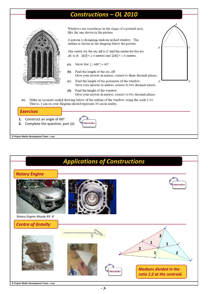## *Constructions – OL 2010*



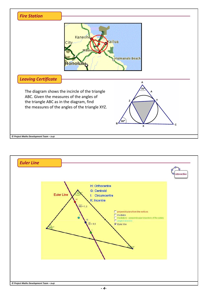

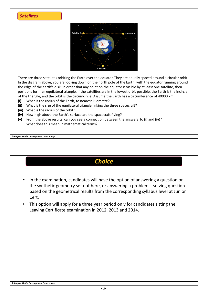#### *Satellites*



There are three satellites orbiting the Earth over the equator. They are equally spaced around a circular orbit. In the diagram above, you are looking down on the north pole of the Earth, with the equator running around the edge of the earth's disk. In order that any point on the equator is visible by at least one satellite, their positions form an equilateral triangle. If the satellites are in the lowest orbit possible, the Earth is the incircle of the triangle, and the orbit is the circumcircle. Assume the Earth has a circumference of 40000 km:

- **(i)** What is the radius of the Earth, to nearest kilometre?
- **(ii)** What is the size of the equilateral triangle linking the three spacecraft?
- **(iii)** What is the radius of the orbit?
- **(iv)** How high above the Earth's surface are the spacecraft flying?
- **(v)** From the above results, can you see a connection between the answers to **(i)** and **(iv)**? What does this mean in mathematical terms?

*© Project Maths Development Team – Draft*

|                    | <b>Choice</b>                                                                                                                                                                                                                                          |
|--------------------|--------------------------------------------------------------------------------------------------------------------------------------------------------------------------------------------------------------------------------------------------------|
| $\bullet$<br>Cert. | In the examination, candidates will have the option of answering a question on<br>the synthetic geometry set out here, or answering a problem $-$ solving question<br>based on the geometrical results from the corresponding syllabus level at Junior |
| $\bullet$          | This option will apply for a three year period only for candidates sitting the<br>Leaving Certificate examination in 2012, 2013 and 2014.                                                                                                              |
|                    |                                                                                                                                                                                                                                                        |
|                    |                                                                                                                                                                                                                                                        |
|                    |                                                                                                                                                                                                                                                        |
|                    |                                                                                                                                                                                                                                                        |
|                    |                                                                                                                                                                                                                                                        |
|                    |                                                                                                                                                                                                                                                        |

#### *© Project Maths Development Team – Draft*